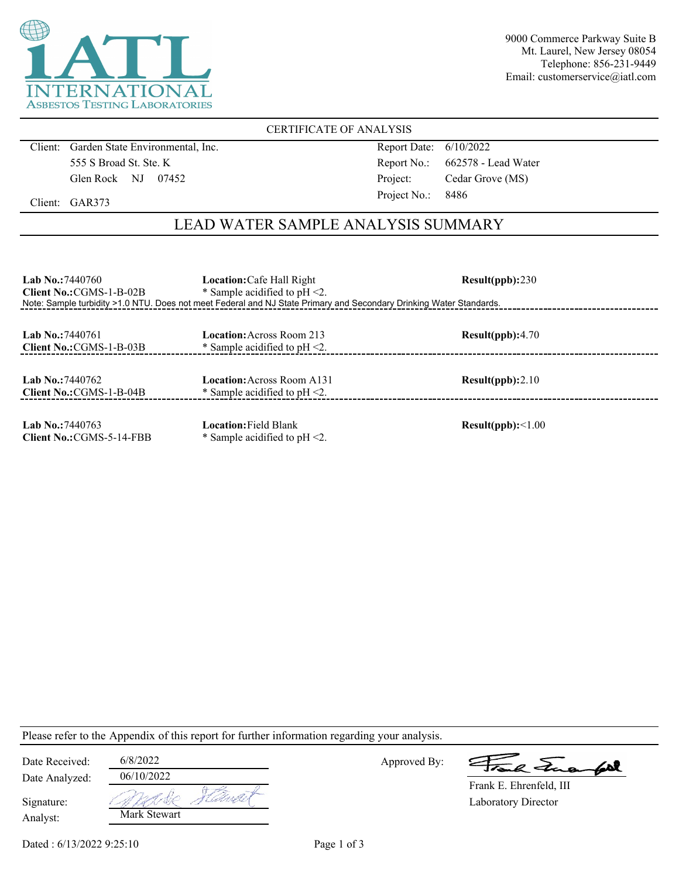

9000 Commerce Parkway Suite B Mt. Laurel, New Jersey 08054 Telephone: 856-231-9449 Email: customerservice@iatl.com

### CERTIFICATE OF ANALYSIS

Client: Garden State Environmental, Inc. 555 S Broad St. Ste. K Glen Rock NJ 07452

Report Date: 6/10/2022 Report No.: 662578 - Lead Water Project: Cedar Grove (MS) Project No.: 8486

Client: GAR373

## LEAD WATER SAMPLE ANALYSIS SUMMARY

| Lab No.: $7440760$<br>Client No.: CGMS-1-B-02B  | <b>Location:</b> Cafe Hall Right<br>* Sample acidified to $pH < 2$ .<br>Note: Sample turbidity >1.0 NTU. Does not meet Federal and NJ State Primary and Secondary Drinking Water Standards. | Result(ppb):230   |  |
|-------------------------------------------------|---------------------------------------------------------------------------------------------------------------------------------------------------------------------------------------------|-------------------|--|
| Lab No.: 7440761<br>Client No.: CGMS-1-B-03B    | <b>Location:</b> Across Room 213<br>* Sample acidified to $pH < 2$ .                                                                                                                        | Result(ppb):4.70  |  |
| Lab No.: $7440762$<br>Client No.: CGMS-1-B-04B  | <b>Location:</b> Across Room A131<br>* Sample acidified to $pH < 2$ .                                                                                                                       | Result(ppb):2.10  |  |
| Lab No.: $7440763$<br>Client No.: CGMS-5-14-FBB | <b>Location: Field Blank</b><br>* Sample acidified to $pH < 2$ .                                                                                                                            | Result(ppb):<1.00 |  |

Please refer to the Appendix of this report for further information regarding your analysis.

| Date Received: | 6/8/2022     |  |
|----------------|--------------|--|
| Date Analyzed: | 06/10/2022   |  |
| Signature:     |              |  |
| Analyst:       | Mark Stewart |  |

Approved By:

a Juan 602

Laboratory Director Frank E. Ehrenfeld, III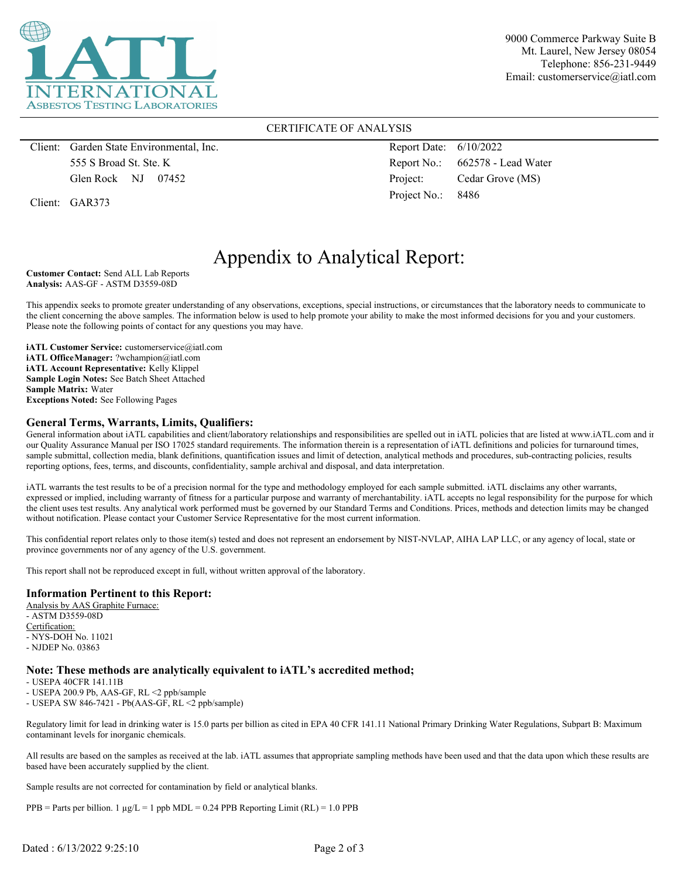

9000 Commerce Parkway Suite B Mt. Laurel, New Jersey 08054 Telephone: 856-231-9449 Email: customerservice@iatl.com

#### CERTIFICATE OF ANALYSIS

Client: Garden State Environmental, Inc. 555 S Broad St. Ste. K Glen Rock NJ 07452

Client: GAR373

Report Date: 6/10/2022 Report No.: 662578 - Lead Water Project: Cedar Grove (MS) Project No.: 8486

# Appendix to Analytical Report:

**Customer Contact:** Send ALL Lab Reports **Analysis:** AAS-GF - ASTM D3559-08D

This appendix seeks to promote greater understanding of any observations, exceptions, special instructions, or circumstances that the laboratory needs to communicate to the client concerning the above samples. The information below is used to help promote your ability to make the most informed decisions for you and your customers. Please note the following points of contact for any questions you may have.

**iATL Customer Service:** customerservice@iatl.com **iATL OfficeManager:** ?wchampion@iatl.com **iATL Account Representative:** Kelly Klippel **Sample Login Notes:** See Batch Sheet Attached **Sample Matrix:** Water **Exceptions Noted:** See Following Pages

#### **General Terms, Warrants, Limits, Qualifiers:**

General information about iATL capabilities and client/laboratory relationships and responsibilities are spelled out in iATL policies that are listed at www.iATL.com and in our Quality Assurance Manual per ISO 17025 standard requirements. The information therein is a representation of iATL definitions and policies for turnaround times, sample submittal, collection media, blank definitions, quantification issues and limit of detection, analytical methods and procedures, sub-contracting policies, results reporting options, fees, terms, and discounts, confidentiality, sample archival and disposal, and data interpretation.

iATL warrants the test results to be of a precision normal for the type and methodology employed for each sample submitted. iATL disclaims any other warrants, expressed or implied, including warranty of fitness for a particular purpose and warranty of merchantability. iATL accepts no legal responsibility for the purpose for which the client uses test results. Any analytical work performed must be governed by our Standard Terms and Conditions. Prices, methods and detection limits may be changed without notification. Please contact your Customer Service Representative for the most current information.

This confidential report relates only to those item(s) tested and does not represent an endorsement by NIST-NVLAP, AIHA LAP LLC, or any agency of local, state or province governments nor of any agency of the U.S. government.

This report shall not be reproduced except in full, without written approval of the laboratory.

#### **Information Pertinent to this Report:**

Analysis by AAS Graphite Furnace: - ASTM D3559-08D Certification: - NYS-DOH No. 11021 - NJDEP No. 03863

#### **Note: These methods are analytically equivalent to iATL's accredited method;**

- USEPA 40CFR 141.11B

- USEPA 200.9 Pb, AAS-GF, RL <2 ppb/sample

- USEPA SW 846-7421 - Pb(AAS-GF, RL <2 ppb/sample)

Regulatory limit for lead in drinking water is 15.0 parts per billion as cited in EPA 40 CFR 141.11 National Primary Drinking Water Regulations, Subpart B: Maximum contaminant levels for inorganic chemicals.

All results are based on the samples as received at the lab. iATL assumes that appropriate sampling methods have been used and that the data upon which these results are based have been accurately supplied by the client.

Sample results are not corrected for contamination by field or analytical blanks.

 $PPB =$  Parts per billion. 1  $\mu g/L = 1$  ppb MDL = 0.24 PPB Reporting Limit (RL) = 1.0 PPB